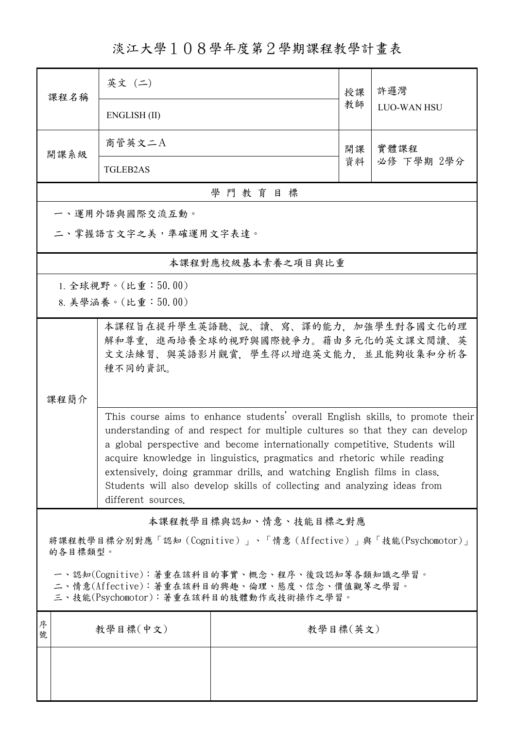淡江大學108學年度第2學期課程教學計畫表

| 課程名稱                                                                                                                                   | 英文 (二)                                                                                                                                                                                                                                                                                                                                                                                                                                                                                              |                   | 授課 | 許邏灣<br><b>LUO-WAN HSU</b> |  |  |  |
|----------------------------------------------------------------------------------------------------------------------------------------|-----------------------------------------------------------------------------------------------------------------------------------------------------------------------------------------------------------------------------------------------------------------------------------------------------------------------------------------------------------------------------------------------------------------------------------------------------------------------------------------------------|-------------------|----|---------------------------|--|--|--|
|                                                                                                                                        | ENGLISH (II)                                                                                                                                                                                                                                                                                                                                                                                                                                                                                        |                   |    |                           |  |  |  |
| 開課系級                                                                                                                                   | 商管英文二A                                                                                                                                                                                                                                                                                                                                                                                                                                                                                              |                   |    | 實體課程                      |  |  |  |
|                                                                                                                                        | <b>TGLEB2AS</b>                                                                                                                                                                                                                                                                                                                                                                                                                                                                                     |                   | 資料 | 必修 下學期 2學分                |  |  |  |
| 學門教育目標                                                                                                                                 |                                                                                                                                                                                                                                                                                                                                                                                                                                                                                                     |                   |    |                           |  |  |  |
|                                                                                                                                        | 一、運用外語與國際交流互動。                                                                                                                                                                                                                                                                                                                                                                                                                                                                                      |                   |    |                           |  |  |  |
| 二、掌握語言文字之美,準確運用文字表達。                                                                                                                   |                                                                                                                                                                                                                                                                                                                                                                                                                                                                                                     |                   |    |                           |  |  |  |
|                                                                                                                                        |                                                                                                                                                                                                                                                                                                                                                                                                                                                                                                     | 本課程對應校級基本素養之項目與比重 |    |                           |  |  |  |
|                                                                                                                                        | 1. 全球視野。(比重: $50.00$ )                                                                                                                                                                                                                                                                                                                                                                                                                                                                              |                   |    |                           |  |  |  |
|                                                                                                                                        | 8. 美學涵養。(比重:50.00)                                                                                                                                                                                                                                                                                                                                                                                                                                                                                  |                   |    |                           |  |  |  |
|                                                                                                                                        | 本課程旨在提升學生英語聽、說、讀、寫、譯的能力、加強學生對各國文化的理<br>解和尊重. 進而培養全球的視野與國際競爭力。藉由多元化的英文課文閱讀、英<br>文文法練習、與英語影片觀賞, 學生得以增進英文能力, 並且能夠收集和分析各<br>種不同的資訊。                                                                                                                                                                                                                                                                                                                                                                     |                   |    |                           |  |  |  |
| 课程简介                                                                                                                                   | This course aims to enhance students' overall English skills, to promote their<br>understanding of and respect for multiple cultures so that they can develop<br>a global perspective and become internationally competitive. Students will<br>acquire knowledge in linguistics, pragmatics and rhetoric while reading<br>extensively, doing grammar drills, and watching English films in class.<br>Students will also develop skills of collecting and analyzing ideas from<br>different sources. |                   |    |                           |  |  |  |
| 本課程教學目標與認知、情意、技能目標之對應                                                                                                                  |                                                                                                                                                                                                                                                                                                                                                                                                                                                                                                     |                   |    |                           |  |  |  |
| 將課程教學目標分別對應「認知(Cognitive)」、「情意(Affective)」與「技能(Psychomotor)」<br>的各目標類型。                                                                |                                                                                                                                                                                                                                                                                                                                                                                                                                                                                                     |                   |    |                           |  |  |  |
| 一、認知(Cognitive):著重在該科目的事實、概念、程序、後設認知等各類知識之學習。<br>二、情意(Affective):著重在該科目的興趣、倫理、態度、信念、價值觀等之學習。<br>三、技能(Psychomotor):著重在該科目的肢體動作或技術操作之學習。 |                                                                                                                                                                                                                                                                                                                                                                                                                                                                                                     |                   |    |                           |  |  |  |
| 序<br>號                                                                                                                                 | 教學目標(中文)                                                                                                                                                                                                                                                                                                                                                                                                                                                                                            | 教學目標(英文)          |    |                           |  |  |  |
|                                                                                                                                        |                                                                                                                                                                                                                                                                                                                                                                                                                                                                                                     |                   |    |                           |  |  |  |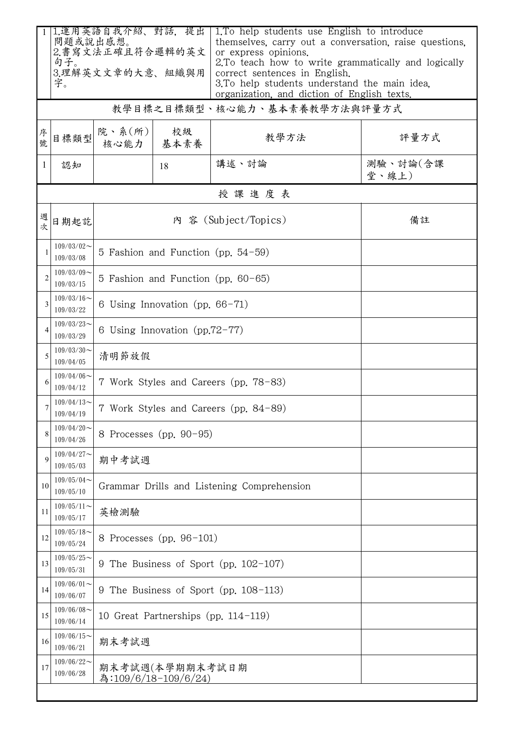|                | 1.運用英語自我介紹、對話,提出<br>問題或說出感想。<br>2.書寫文法正確且符合邏輯的英文<br>句子。<br>3.理解英文文章的大意、組織與用<br>字。 |                                            |            | 1. To help students use English to introduce<br>themselves, carry out a conversation, raise questions,<br>or express opinions.<br>2. To teach how to write grammatically and logically<br>correct sentences in English.<br>3. To help students understand the main idea.<br>organization, and diction of English texts. |                   |  |  |  |  |
|----------------|-----------------------------------------------------------------------------------|--------------------------------------------|------------|-------------------------------------------------------------------------------------------------------------------------------------------------------------------------------------------------------------------------------------------------------------------------------------------------------------------------|-------------------|--|--|--|--|
|                | 教學目標之目標類型、核心能力、基本素養教學方法與評量方式                                                      |                                            |            |                                                                                                                                                                                                                                                                                                                         |                   |  |  |  |  |
| 序號             | 目標類型                                                                              | 院、系(所)<br>核心能力                             | 校級<br>基本素養 | 教學方法                                                                                                                                                                                                                                                                                                                    | 評量方式              |  |  |  |  |
| 1              | 認知                                                                                |                                            | 18         | 講述、討論                                                                                                                                                                                                                                                                                                                   | 測驗、討論(含課<br>堂、線上) |  |  |  |  |
|                | 授課進度表                                                                             |                                            |            |                                                                                                                                                                                                                                                                                                                         |                   |  |  |  |  |
| 週次             | 日期起訖                                                                              |                                            | 備註         |                                                                                                                                                                                                                                                                                                                         |                   |  |  |  |  |
|                | $109/03/02$ ~<br>109/03/08                                                        | 5 Fashion and Function (pp. $54-59$ )      |            |                                                                                                                                                                                                                                                                                                                         |                   |  |  |  |  |
| $\overline{2}$ | $109/03/09$ ~<br>109/03/15                                                        | 5 Fashion and Function (pp. 60-65)         |            |                                                                                                                                                                                                                                                                                                                         |                   |  |  |  |  |
| 3              | $109/03/16$ ~<br>109/03/22                                                        | 6 Using Innovation (pp. $66-71$ )          |            |                                                                                                                                                                                                                                                                                                                         |                   |  |  |  |  |
| 4              | $109/03/23$ ~<br>109/03/29                                                        | 6 Using Innovation (pp.72-77)              |            |                                                                                                                                                                                                                                                                                                                         |                   |  |  |  |  |
|                | $109/03/30$ ~<br>109/04/05                                                        | 清明節放假                                      |            |                                                                                                                                                                                                                                                                                                                         |                   |  |  |  |  |
| 6              | $109/04/06 \sim$<br>109/04/12                                                     | 7 Work Styles and Careers (pp. 78–83)      |            |                                                                                                                                                                                                                                                                                                                         |                   |  |  |  |  |
| 7              | $109/04/13$ ~<br>109/04/19                                                        | 7 Work Styles and Careers (pp. 84-89)      |            |                                                                                                                                                                                                                                                                                                                         |                   |  |  |  |  |
|                | $109/04/20$ ~<br>109/04/26                                                        | 8 Processes (pp. 90-95)                    |            |                                                                                                                                                                                                                                                                                                                         |                   |  |  |  |  |
| 9              | $109/04/27$ ~<br>109/05/03                                                        | 期中考試週                                      |            |                                                                                                                                                                                                                                                                                                                         |                   |  |  |  |  |
| 10             | $109/05/04$ ~<br>109/05/10                                                        | Grammar Drills and Listening Comprehension |            |                                                                                                                                                                                                                                                                                                                         |                   |  |  |  |  |
| 11             | $109/05/11$ ~<br>109/05/17                                                        | 英檢測驗                                       |            |                                                                                                                                                                                                                                                                                                                         |                   |  |  |  |  |
| 12             | $109/05/18$ ~<br>109/05/24                                                        | 8 Processes (pp. 96-101)                   |            |                                                                                                                                                                                                                                                                                                                         |                   |  |  |  |  |
| 13             | $109/05/25$ ~<br>109/05/31                                                        | 9 The Business of Sport (pp. 102-107)      |            |                                                                                                                                                                                                                                                                                                                         |                   |  |  |  |  |
| 14             | $109/06/01$ ~<br>109/06/07                                                        | 9 The Business of Sport (pp. 108-113)      |            |                                                                                                                                                                                                                                                                                                                         |                   |  |  |  |  |
| 15             | $109/06/08$ ~<br>109/06/14                                                        | 10 Great Partnerships (pp. 114-119)        |            |                                                                                                                                                                                                                                                                                                                         |                   |  |  |  |  |
| 16             | $109/06/15$ ~<br>109/06/21                                                        | 期末考試週                                      |            |                                                                                                                                                                                                                                                                                                                         |                   |  |  |  |  |
| 17             | $109/06/22$ ~<br>109/06/28                                                        | 期末考試週(本學期期末考試日期<br>為:109/6/18-109/6/24)    |            |                                                                                                                                                                                                                                                                                                                         |                   |  |  |  |  |